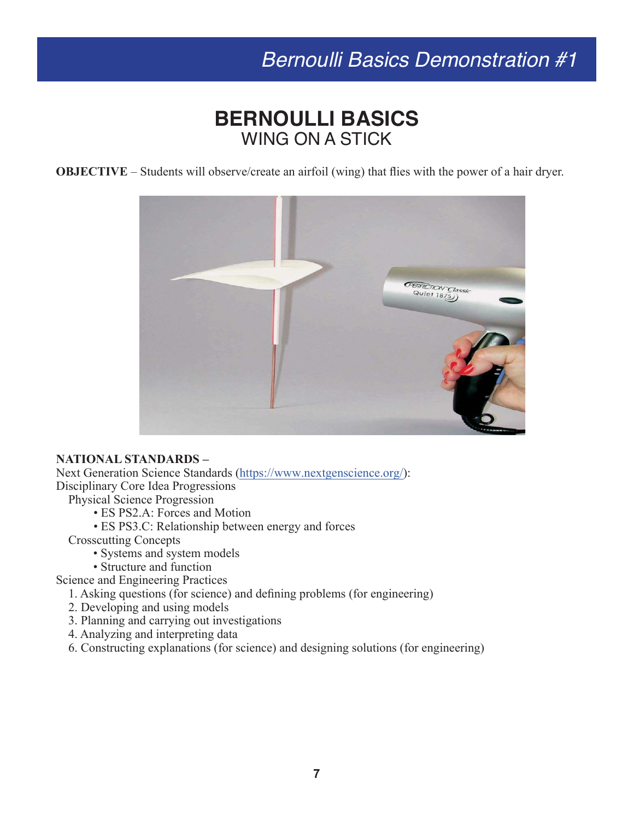# *Bernoulli Basics Demonstration #1*

### **BERNOULLI BASICS** WING ON A STICK

**OBJECTIVE** – Students will observe/create an airfoil (wing) that flies with the power of a hair dryer.



#### **NATIONAL STANDARDS –**

Next Generation Science Standards [\(https://www.nextgenscience.org/](https://www.nextgenscience.org/)):

Disciplinary Core Idea Progressions

Physical Science Progression

• ES PS2.A: Forces and Motion

• ES PS3.C: Relationship between energy and forces

Crosscutting Concepts

- Systems and system models
- Structure and function

Science and Engineering Practices

1. Asking questions (for science) and defining problems (for engineering)

- 2. Developing and using models
- 3. Planning and carrying out investigations
- 4. Analyzing and interpreting data
- 6. Constructing explanations (for science) and designing solutions (for engineering)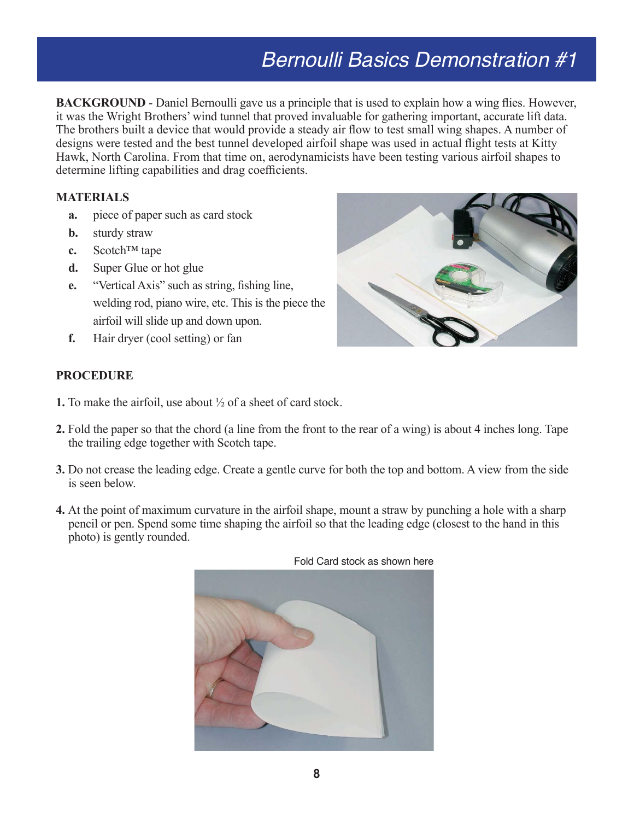# *Bernoulli Basics Demonstration #1*

**BACKGROUND** - Daniel Bernoulli gave us a principle that is used to explain how a wing flies. However, it was the Wright Brothers' wind tunnel that proved invaluable for gathering important, accurate lift data. The brothers built a device that would provide a steady air flow to test small wing shapes. A number of designs were tested and the best tunnel developed airfoil shape was used in actual flight tests at Kitty Hawk, North Carolina. From that time on, aerodynamicists have been testing various airfoil shapes to determine lifting capabilities and drag coefficients.

#### **MATERIALS**

- **a.** piece of paper such as card stock
- **b.** sturdy straw
- **c.** Scotch™ tape
- **d.** Super Glue or hot glue
- **e.** "Vertical Axis" such as string, fishing line, welding rod, piano wire, etc. This is the piece the airfoil will slide up and down upon.
- **f.** Hair dryer (cool setting) or fan



#### **PROCEDURE**

- **1.** To make the airfoil, use about ½ of a sheet of card stock.
- **2.** Fold the paper so that the chord (a line from the front to the rear of a wing) is about 4 inches long. Tape the trailing edge together with Scotch tape.
- **3.** Do not crease the leading edge. Create a gentle curve for both the top and bottom. A view from the side is seen below.
- **4.** At the point of maximum curvature in the airfoil shape, mount a straw by punching a hole with a sharp pencil or pen. Spend some time shaping the airfoil so that the leading edge (closest to the hand in this photo) is gently rounded.



Fold Card stock as shown here